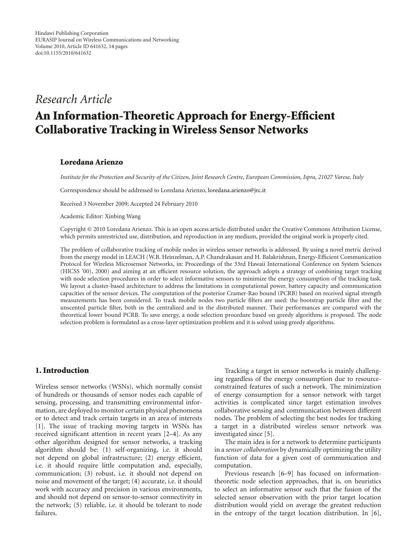# *Research Article*

# **An Information-Theoretic Approach for Energy-Efficient Collaborative Tracking in Wireless Sensor Networks**

### **Loredana Arienzo**

*Institute for the Protection and Security of the Citizen, Joint Research Centre, European Commission, Ispra, 21027 Varese, Italy*

Correspondence should be addressed to Loredana Arienzo, loredana.arienzo@jrc.it

Received 3 November 2009; Accepted 24 February 2010

Academic Editor: Xinbing Wang

Copyright © 2010 Loredana Arienzo. This is an open access article distributed under the Creative Commons Attribution License, which permits unrestricted use, distribution, and reproduction in any medium, provided the original work is properly cited.

The problem of collaborative tracking of mobile nodes in wireless sensor networks is addressed. By using a novel metric derived from the energy model in LEACH (W.B. Heinzelman, A.P. Chandrakasan and H. Balakrishnan, Energy-Efficient Communication Protocol for Wireless Microsensor Networks, in: Proceedings of the 33rd Hawaii International Conference on System Sciences (HICSS '00), 2000) and aiming at an efficient resource solution, the approach adopts a strategy of combining target tracking with node selection procedures in order to select informative sensors to minimize the energy consumption of the tracking task. We layout a cluster-based architecture to address the limitations in computational power, battery capacity and communication capacities of the sensor devices. The computation of the posterior Cramer-Rao bound (PCRB) based on received signal strength measurements has been considered. To track mobile nodes two particle filters are used: the bootstrap particle filter and the unscented particle filter, both in the centralized and in the distributed manner. Their performances are compared with the theoretical lower bound PCRB. To save energy, a node selection procedure based on greedy algorithms is proposed. The node selection problem is formulated as a cross-layer optimization problem and it is solved using greedy algorithms.

## **1. Introduction**

Wireless sensor networks (WSNs), which normally consist of hundreds or thousands of sensor nodes each capable of sensing, processing, and transmitting environmental information, are deployed to monitor certain physical phenomena or to detect and track certain targets in an area of interests [1]. The issue of tracking moving targets in WSNs has received significant attention in recent years [2–4]. As any other algorithm designed for sensor networks, a tracking algorithm should be: (1) self-organizing, i.e. it should not depend on global infrastructure; (2) energy efficient, i.e. it should require little computation and, especially, communication; (3) robust, i.e. it should not depend on noise and movement of the target; (4) accurate, i.e. it should work with accuracy and precision in various environments, and should not depend on sensor-to-sensor connectivity in the network; (5) reliable, i.e. it should be tolerant to node failures.

Tracking a target in sensor networks is mainly challenging regardless of the energy consumption due to resourceconstrained features of such a network. The minimization of energy consumption for a sensor network with target activities is complicated since target estimation involves collaborative sensing and communication between different nodes. The problem of selecting the best nodes for tracking a target in a distributed wireless sensor network was investigated since [5].

The main idea is for a network to determine participants in a *sensor collaboration* by dynamically optimizing the utility function of data for a given cost of communication and computation.

Previous research [6–9] has focused on informationtheoretic node selection approaches, that is, on heuristics to select an informative sensor such that the fusion of the selected sensor observation with the prior target location distribution would yield on average the greatest reduction in the entropy of the target location distribution. In [6],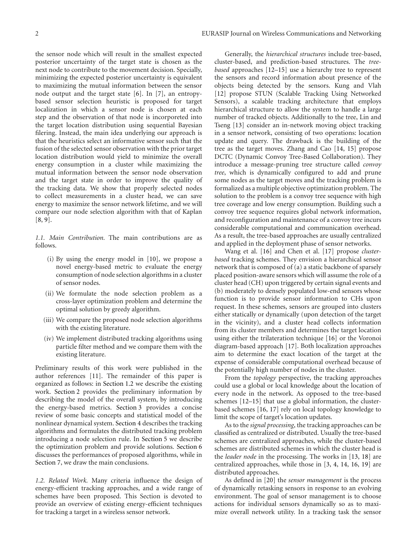the sensor node which will result in the smallest expected posterior uncertainty of the target state is chosen as the next node to contribute to the movement decision. Specially, minimizing the expected posterior uncertainty is equivalent to maximizing the mutual information between the sensor node output and the target state [6]. In [7], an entropybased sensor selection heuristic is proposed for target localization in which a sensor node is chosen at each step and the observation of that node is incorporeted into the target location distribution using sequential Bayesian filering. Instead, the main idea underlying our approach is that the heuristics select an informative sensor such that the fusion of the selected sensor observation with the prior target location distribution would yield to minimize the overall energy consumption in a cluster while maximizing the mutual information between the sensor node observation and the target state in order to improve the quality of the tracking data. We show that properly selected nodes to collect measurements in a cluster head, we can save energy to maximize the sensor network lifetime, and we will compare our node selection algorithm with that of Kaplan [8, 9].

*1.1. Main Contribution.* The main contributions are as follows.

- (i) By using the energy model in [10], we propose a novel energy-based metric to evaluate the energy consumption of node selection algorithms in a cluster of sensor nodes.
- (ii) We formulate the node selection problem as a cross-layer optimization problem and determine the optimal solution by greedy algorithm.
- (iii) We compare the proposed node selection algorithms with the existing literature.
- (iv) We implement distributed tracking algorithms using particle filter method and we compare them with the existing literature.

Preliminary results of this work were published in the author references [11]. The remainder of this paper is organized as follows: in Section 1.2 we describe the existing work. Section 2 provides the preliminary information by describing the model of the overall system, by introducing the energy-based metrics. Section 3 provides a concise review of some basic concepts and statistical model of the nonlinear dynamical system. Section 4 describes the tracking algorithms and formulates the distributed tracking problem introducing a node selection rule. In Section 5 we describe the optimization problem and provide solutions. Section 6 discusses the performances of proposed algorithms, while in Section 7, we draw the main conclusions.

*1.2. Related Work.* Many criteria influence the design of energy-efficient tracking approaches, and a wide range of schemes have been proposed. This Section is devoted to provide an overview of existing energy-efficient techniques for tracking a target in a wireless sensor network.

Generally, the *hierarchical structures* include tree-based, cluster-based, and prediction-based structures. The *treebased* approaches [12–15] use a hierarchy tree to represent the sensors and record information about presence of the objects being detected by the sensors. Kung and Vlah [12] propose STUN (Scalable Tracking Using Networked Sensors), a scalable tracking architecture that employs hierarchical structure to allow the system to handle a large number of tracked objects. Additionally to the tree, Lin and Tseng [13] consider an in-network moving object tracking in a sensor network, consisting of two operations: location update and query. The drawback is the building of the tree as the target moves. Zhang and Cao [14, 15] propose DCTC (Dynamic Convoy Tree-Based Collaboration). They introduce a message-pruning tree structure called *convoy tree*, which is dynamically configured to add and prune some nodes as the target moves and the tracking problem is formalized as a multiple objective optimization problem. The solution to the problem is a convoy tree sequence with high tree coverage and low energy consumption. Building such a convoy tree sequence requires global network information, and reconfiguration and maintenance of a convoy tree incurs considerable computational and communication overhead. As a result, the tree-based approaches are usually centralized and applied in the deployment phase of sensor networks.

Wang et al. [16] and Chen et al. [17] propose *clusterbased* tracking schemes. They envision a hierarchical sensor network that is composed of (a) a static backbone of sparsely placed position-aware sensors which will assume the role of a cluster head (CH) upon triggered by certain signal events and (b) moderately to densely populated low-end sensors whose function is to provide sensor information to CHs upon request. In these schemes, sensors are grouped into clusters either statically or dynamically (upon detection of the target in the vicinity), and a cluster head collects information from its cluster members and determines the target location using either the trilateration technique [16] or the Voronoi diagram-based approach [17]. Both localization approaches aim to determine the exact location of the target at the expense of considerable computational overhead because of the potentially high number of nodes in the cluster.

From the *topology* perspective, the tracking approaches could use a global or local knowledge about the location of every node in the network. As opposed to the tree-based schemes [12–15] that use a global information, the clusterbased schemes [16, 17] rely on local topology knowledge to limit the scope of target's location updates.

As to the *signal processing*, the tracking approaches can be classified as centralized or distributed. Usually the tree-based schemes are centralized approaches, while the cluster-based schemes are distributed schemes in which the cluster head is the *leader node* in the processing. The works in [13, 18] are centralized approaches, while those in [3, 4, 14, 16, 19] are distributed approaches.

As defined in [20] the *sensor management* is the process of dynamically retasking sensors in response to an evolving environment. The goal of sensor management is to choose actions for individual sensors dynamically so as to maximize overall network utility. In a tracking task the sensor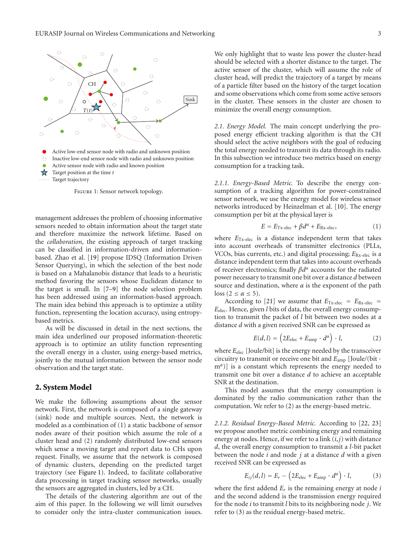

Figure 1: Sensor network topology.

management addresses the problem of choosing informative sensors needed to obtain information about the target state and therefore maximize the network lifetime. Based on the *collaboration*, the existing approach of target tracking can be classified in information-driven and informationbased. Zhao et al. [19] propose IDSQ (Information Driven Sensor Querying), in which the selection of the best node is based on a Mahalanobis distance that leads to a heuristic method favoring the sensors whose Euclidean distance to the target is small. In [7–9] the node selection problem has been addressed using an information-based approach. The main idea behind this approach is to optimize a utility function, representing the location accuracy, using entropybased metrics.

As will be discussed in detail in the next sections, the main idea underlined our proposed information-theoretic approach is to optimize an utility function representing the overall energy in a cluster, using energy-based metrics, jointly to the mutual information between the sensor node observation and the target state.

#### **2. System Model**

We make the following assumptions about the sensor network. First, the network is composed of a single gateway (sink) node and multiple sources. Next, the network is modeled as a combination of (1) a static backbone of sensor nodes aware of their position which assume the role of a cluster head and (2) randomly distributed low-end sensors which sense a moving target and report data to CHs upon request. Finally, we assume that the network is composed of dynamic clusters, depending on the predicted target trajectory (see Figure 1). Indeed, to facilitate collaborative data processing in target tracking sensor networks, usually the sensors are aggregated in clusters, led by a CH.

The details of the clustering algorithm are out of the aim of this paper. In the following we will limit ourselves to consider only the intra-cluster communication issues.

We only highlight that to waste less power the cluster-head should be selected with a shorter distance to the target. The active sensor of the cluster, which will assume the role of cluster head, will predict the trajectory of a target by means of a particle filter based on the history of the target location and some observations which come from some active sensors in the cluster. These sensors in the cluster are chosen to minimize the overall energy consumption.

*2.1. Energy Model.* The main concept underlying the proposed energy efficient tracking algorithm is that the CH should select the active neighbors with the goal of reducing the total energy needed to transmit its data through its radio. In this subsection we introduce two metrics based on energy consumption for a tracking task.

*2.1.1. Energy-Based Metric.* To describe the energy consumption of a tracking algorithm for power-constrained sensor network, we use the energy model for wireless sensor networks introduced by Heinzelman et al. [10]. The energy consumption per bit at the physical layer is

$$
E = E_{\text{Tx-elec}} + \beta d^{\alpha} + E_{\text{Rx-elec}}, \tag{1}
$$

where *E*Tx-elec is a distance independent term that takes into account overheads of transmitter electronics (PLLs, VCOs, bias currents, etc.) and digital processing; *E*Rx-elec is a distance independent term that takes into account overheads of receiver electronics; finally *βdα* accounts for the radiated power necessary to transmit one bit over a distance *d* between source and destination, where *α* is the exponent of the path loss  $(2 \le \alpha \le 5)$ .

According to [21] we assume that  $E_{Tx\text{-elec}} = E_{Rx\text{-elec}} =$ *E*elec. Hence, given *l* bits of data, the overall energy consumption to transmit the packet of *l* bit between two nodes at a distance *d* with a given received SNR can be expressed as

$$
E(d, l) = \left(2E_{\text{elec}} + E_{\text{amp}} \cdot d^{\alpha}\right) \cdot l,\tag{2}
$$

where  $E_{\text{elec}}$  [Joule/bit] is the energy needed by the transceiver circuitry to transmit or receive one bit and *<sup>E</sup>*amp [Joule*/*(bit · m*<sup>α</sup>*)] is a constant which represents the energy needed to transmit one bit over a distance *d* to achieve an acceptable SNR at the destination.

This model assumes that the energy consumption is dominated by the radio communication rather than the computation. We refer to (2) as the energy-based metric.

*2.1.2. Residual Energy-Based Metric.* According to [22, 23] we propose another metric combining energy and remaining energy at nodes. Hence, if we refer to a link (*i*,*j*) with distance *d*, the overall energy consumption to transmit a *l*-bit packet between the node *i* and node *j* at a distance *d* with a given received SNR can be expressed as

$$
E_{ij}(d, l) = E_r - \left(2E_{\text{elec}} + E_{\text{amp}} \cdot d^{\alpha}\right) \cdot l,\tag{3}
$$

where the first addend *Er* is the remaining energy at node *i* and the second addend is the transmission energy required for the node *i* to transmit *l* bits to its neighboring node *j*. We refer to (3) as the residual energy-based metric.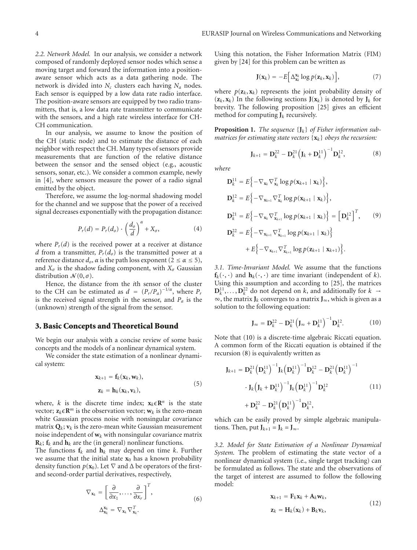*2.2. Network Model.* In our analysis, we consider a network composed of randomly deployed sensor nodes which sense a moving target and forward the information into a positionaware sensor which acts as a data gathering node. The network is divided into  $N_c$  clusters each having  $N_a$  nodes. Each sensor is equipped by a low data rate radio interface. The position-aware sensors are equipped by two radio transmitters, that is, a low data rate transmitter to communicate with the sensors, and a high rate wireless interface for CH-CH communication.

In our analysis, we assume to know the position of the CH (static node) and to estimate the distance of each neighbor with respect the CH. Many types of sensors provide measurements that are function of the relative distance between the sensor and the sensed object (e.g., acoustic sensors, sonar, etc.). We consider a common example, newly in [4], where sensors measure the power of a radio signal emitted by the object.

Therefore, we assume the log-normal shadowing model for the channel and we suppose that the power of a received signal decreases exponentially with the propagation distance:

$$
P_r(d) = P_r(d_o) \cdot \left(\frac{d_o}{d}\right)^{\alpha} + X_{\sigma}, \tag{4}
$$

where  $P_r(d)$  is the received power at a receiver at distance *d* from a transmitter,  $P_r(d_o)$  is the transmitted power at a reference distance  $d_0$ ,  $\alpha$  is the path loss exponent ( $2 \le \alpha \le 5$ ), and  $X_{\sigma}$  is the shadow fading component, with  $X_{\sigma}$  Gaussian distribution  $\mathcal{N}(0, \sigma)$ .

Hence, the distance from the *i*th sensor of the cluster to the CH can be estimated as  $d = (P_r/P_a)^{-1/\alpha}$ , where  $P_r$ is the received signal strength in the sensor, and *Pa* is the (unknown) strength of the signal from the sensor.

#### **3. Basic Concepts and Theoretical Bound**

We begin our analysis with a concise review of some basic concepts and the models of a nonlinear dynamical system.

We consider the state estimation of a nonlinear dynamical system:

$$
\mathbf{x}_{k+1} = \mathbf{f}_k(\mathbf{x}_k, \mathbf{w}_k),
$$
  

$$
\mathbf{z}_k = \mathbf{h}_k(\mathbf{x}_k, \mathbf{v}_k),
$$
 (5)

where, *k* is the discrete time index;  $\mathbf{x}_k \in \mathbb{R}^n$  is the state vector;  $z_k \in \mathbb{R}^m$  is the observation vector;  $w_k$  is the zero-mean white Gaussian process noise with nonsingular covariance matrix  $\mathbf{Q}_k$ ;  $\mathbf{v}_k$  is the zero-mean white Gaussian measurement noise independent of **w***<sup>k</sup>* with nonsingular covariance matrix  $\mathbf{R}_k$ ;  $\mathbf{f}_k$  and  $\mathbf{h}_k$  are the (in general) nonlinear functions.

The functions  $f_k$  and  $h_k$  may depend on time *k*. Further we assume that the initial state  $x_0$  has a known probability density function  $p(\mathbf{x}_0)$ . Let  $\nabla$  and  $\Delta$  be operators of the firstand second-order partial derivatives, respectively,

$$
\nabla_{\mathbf{x}_{k}} = \left[\frac{\partial}{\partial x_{1}}, \dots, \frac{\partial}{\partial x_{r}}\right]^{T},
$$
\n
$$
\Delta_{\mathbf{x}_{k}}^{\mathbf{x}_{k}} = \nabla_{\mathbf{x}_{k}} \nabla_{\mathbf{x}_{k}}^{T}.
$$
\n(6)

Using this notation, the Fisher Information Matrix (FIM) given by [24] for this problem can be written as

$$
\mathbf{J}(\mathbf{x}_k) = -E\Big[\Delta_{\mathbf{x}_k}^{\mathbf{x}_k} \log p(\mathbf{z}_k, \mathbf{x}_k)\Big],\tag{7}
$$

 $(8)$ 

where  $p(\mathbf{z}_k, \mathbf{x}_k)$  represents the joint probability density of  $(\mathbf{z}_k, \mathbf{x}_k)$  In the following sections  $J(\mathbf{x}_k)$  is denoted by  $J_k$  for brevity. The following proposition [25] gives an efficient method for computing  $J_k$  recursively.

**Proposition 1.** *The sequence* {**J***k*} *of Fisher information submatrices for estimating state vectors* {**x***k*} *obeys the recursion:*

 $J_{k+1} = D_k^{22} - D_k^{21} (J_k + D_k^{11})^{-1} D_k^{12}$ 

*where*

$$
\mathbf{D}_{k}^{11} = E \Big\{ -\nabla_{\mathbf{x}_{k}} \nabla_{\mathbf{x}_{k}}^{T} \log p(\mathbf{x}_{k+1} | \mathbf{x}_{k}) \Big\},
$$
\n
$$
\mathbf{D}_{k}^{12} = E \Big\{ -\nabla_{\mathbf{x}_{k+1}} \nabla_{\mathbf{x}_{k}}^{T} \log p(\mathbf{x}_{k+1} | \mathbf{x}_{k}) \Big\},
$$
\n
$$
\mathbf{D}_{k}^{21} = E \Big\{ -\nabla_{\mathbf{x}_{k}} \nabla_{\mathbf{x}_{k+1}}^{T} \log p(\mathbf{x}_{k+1} | \mathbf{x}_{k}) \Big\} = \Big[ \mathbf{D}_{k}^{12} \Big]^{T}, \qquad (9)
$$
\n
$$
\mathbf{D}_{k}^{22} = E \Big\{ -\nabla_{\mathbf{x}_{k+1}} \nabla_{\mathbf{x}_{k+1}}^{T} \log p(\mathbf{x}_{k+1} | \mathbf{x}_{k}) \Big\}
$$
\n
$$
+ E \Big\{ -\nabla_{\mathbf{x}_{k+1}} \nabla_{\mathbf{x}_{k+1}}^{T} \log p(\mathbf{z}_{k+1} | \mathbf{x}_{k+1}) \Big\}.
$$

*3.1. Time-Invariant Model.* We assume that the functions  $f_k(\cdot, \cdot)$  and  $h_k(\cdot, \cdot)$  are time invariant (independent of *k*). Using this assumption and according to [25], the matrices  $D_k^{11}, \ldots, D_k^{22}$  do not depend on *k*, and additionally for  $k \to$ ∞, the matrix **J***<sup>k</sup>* converges to a matrix **J**∞, which is given as a solution to the following equation:

$$
\mathbf{J}_{\infty} = \mathbf{D}_{k}^{22} - \mathbf{D}_{k}^{21} \left( \mathbf{J}_{\infty} + \mathbf{D}_{k}^{11} \right)^{-1} \mathbf{D}_{k}^{12}.
$$
 (10)

Note that (10) is a discrete-time algebraic Riccati equation. A common form of the Riccati equation is obtained if the recursion (8) is equivalently written as

$$
\mathbf{J}_{k+1} = \mathbf{D}_{k}^{21} (\mathbf{D}_{k}^{11})^{-1} \mathbf{J}_{k} (\mathbf{D}_{k}^{11})^{-1} \mathbf{D}_{k}^{12} - \mathbf{D}_{k}^{21} (\mathbf{D}_{k}^{11})^{-1} \n\cdot \mathbf{J}_{k} (\mathbf{J}_{k} + \mathbf{D}_{k}^{11})^{-1} \mathbf{J}_{k} (\mathbf{D}_{k}^{11})^{-1} \mathbf{D}_{k}^{12} \n+ \mathbf{D}_{k}^{22} - \mathbf{D}_{k}^{21} (\mathbf{D}_{k}^{11})^{-1} \mathbf{D}_{k}^{12},
$$
\n(11)

which can be easily proved by simple algebraic manipulations. Then, put  $J_{k+1} = J_k = J_\infty$ .

*3.2. Model for State Estimation of a Nonlinear Dynamical System.* The problem of estimating the state vector of a nonlinear dynamical system (i.e., single target tracking) can be formulated as follows. The state and the observations of the target of interest are assumed to follow the following model:

$$
\mathbf{x}_{k+1} = \mathbf{F}_k \mathbf{x}_k + \mathbf{A}_k \mathbf{w}_k, \n\mathbf{z}_k = \mathbf{H}_k(\mathbf{x}_k) + \mathbf{B}_k \mathbf{v}_k,
$$
\n(12)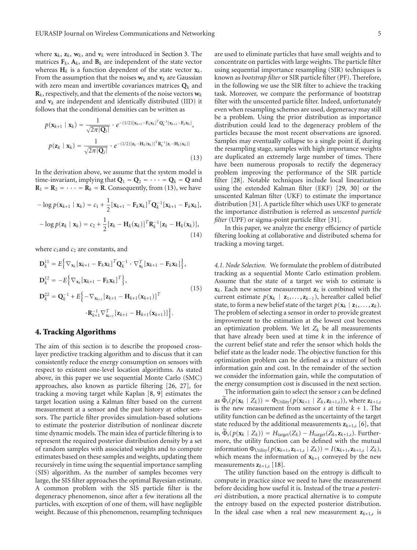where  $\mathbf{x}_k$ ,  $\mathbf{z}_k$ ,  $\mathbf{w}_k$ , and  $\mathbf{v}_k$  were introduced in Section 3. The matrices  $\mathbf{F}_k$ ,  $\mathbf{A}_k$ , and  $\mathbf{B}_k$  are independent of the state vector whereas  $H_k$  is a function dependent of the state vector  $\mathbf{x}_k$ . From the assumption that the noises  $w_k$  and  $v_k$  are Gaussian with zero mean and invertible covariances matrices **Q***<sup>k</sup>* and **R***k*, respectively, and that the elements of the noise vectors **w***<sup>k</sup>* and  $v_k$  are independent and identically distributed (IID) it follows that the conditional densities can be written as

$$
p(\mathbf{x}_{k+1} \mid \mathbf{x}_k) = \frac{1}{\sqrt{2\pi |\mathbf{Q}_i|}} \cdot e^{-(1/2)[\mathbf{x}_{k+1} - \mathbf{F}_k \mathbf{x}_k]^T \mathbf{Q}_k^{-1} [\mathbf{x}_{k+1} - \mathbf{F}_k \mathbf{x}_k]},
$$
  

$$
p(\mathbf{z}_k \mid \mathbf{x}_k) = \frac{1}{\sqrt{2\pi |\mathbf{Q}_i|}} \cdot e^{-(1/2)[\mathbf{z}_k - \mathbf{H}_k(\mathbf{x}_k)]^T \mathbf{R}_k^{-1} [\mathbf{z}_i - \mathbf{H}_k(\mathbf{x}_k)]}
$$
(13)

In the derivation above, we assume that the system model is time-invariant, implying that  $Q_1 = Q_2 = \cdots = Q_k = Q$  and  $\mathbf{R}_1 = \mathbf{R}_2 = \cdots = \mathbf{R}_k = \mathbf{R}$ . Consequently, from (13), we have

$$
-\log p(\mathbf{x}_{k+1} | \mathbf{x}_k) = c_1 + \frac{1}{2} [\mathbf{x}_{k+1} - \mathbf{F}_k \mathbf{x}_k]^T \mathbf{Q}_k^{-1} [\mathbf{x}_{k+1} - \mathbf{F}_k \mathbf{x}_k],
$$
  

$$
-\log p(\mathbf{z}_k | \mathbf{x}_k) = c_2 + \frac{1}{2} [\mathbf{z}_k - \mathbf{H}_k(\mathbf{x}_k)]^T \mathbf{R}_k^{-1} [\mathbf{z}_k - \mathbf{H}_k(\mathbf{x}_k)],
$$
  
(14)

where  $c_1$  and  $c_2$  are constants, and

 $\overline{a}$ 

$$
\mathbf{D}_{k}^{11} = E \Big\{ \nabla_{\mathbf{x}_{k}} [\mathbf{x}_{k+1} - \mathbf{F}_{k} \mathbf{x}_{k}]^{T} \mathbf{Q}_{k}^{-1} \cdot \nabla_{\mathbf{x}_{k}}^{T} [\mathbf{x}_{k+1} - \mathbf{F}_{k} \mathbf{x}_{k}] \Big\},
$$
\n
$$
\mathbf{D}_{k}^{12} = -E \Big\{ \nabla_{\mathbf{x}_{k}} [\mathbf{x}_{k+1} - \mathbf{F}_{k} \mathbf{x}_{k}]^{T} \Big\},
$$
\n
$$
\mathbf{D}_{k}^{22} = \mathbf{Q}_{k}^{-1} + E \Big\{ -\nabla_{\mathbf{x}_{k+1}} [\mathbf{z}_{k+1} - \mathbf{H}_{k+1} (\mathbf{x}_{k+1})]^{T}
$$
\n
$$
\cdot \mathbf{R}_{k+1}^{-1} \nabla_{\mathbf{x}_{k+1}}^{T} [\mathbf{z}_{k+1} - \mathbf{H}_{k+1} (\mathbf{x}_{k+1})] \Big\}.
$$
\n(15)

#### **4. Tracking Algorithms**

The aim of this section is to describe the proposed crosslayer predictive tracking algorithm and to discuss that it can consistently reduce the energy consumption on sensors with respect to existent one-level location algorithms. As stated above, in this paper we use sequential Monte Carlo (SMC) approaches, also known as particle filtering [26, 27], for tracking a moving target while Kaplan [8, 9] estimates the target location using a Kalman filter based on the current measurement at a sensor and the past history at other sensors. The particle filter provides simulation-based solutions to estimate the posterior distribution of nonlinear discrete time dynamic models. The main idea of particle filtering is to represent the required posterior distribution density by a set of random samples with associated weights and to compute estimates based on these samples and weights, updating them recursively in time using the sequential importance sampling (SIS) algorithm. As the number of samples becomes very large, the SIS filter approaches the optimal Bayesian estimate. A common problem with the SIS particle filter is the degeneracy phenomenon, since after a few iterations all the particles, with exception of one of them, will have negligible weight. Because of this phenomenon, resampling techniques

are used to eliminate particles that have small weights and to concentrate on particles with large weights. The particle filter using sequential importance resampling (SIR) techniques is known as *bootstrap filter* or SIR particle filter (PF). Therefore, in the following we use the SIR filter to achieve the tracking task. Moreover, we compare the performance of bootstrap filter with the unscented particle filter. Indeed, unfortunately even when resampling schemes are used, degeneracy may still be a problem. Using the prior distribution as importance distribution could lead to the degeneracy problem of the particles because the most recent observations are ignored. Samples may eventually collapse to a single point if, during the resampling stage, samples with high importance weights are duplicated an extremely large number of times. There have been numerous proposals to rectify the degeneracy problem improving the performance of the SIR particle filter [28]. Notable techniques include local linearization using the extended Kalman filter (EKF) [29, 30] or the unscented Kalman filter (UKF) to estimate the importance distribution [31]. A particle filter which uses UKF to generate the importance distribution is referred as *unscented particle filter* (UPF) or sigma-point particle filter [31].

In this paper, we analyze the energy efficiency of particle filtering looking at collaborative and distributed schema for tracking a moving target.

*4.1. Node Selection.* We formulate the problem of distributed tracking as a sequential Monte Carlo estimation problem. Assume that the state of a target we wish to estimate is  $\mathbf{x}_k$ . Each new sensor measurement  $\mathbf{z}_k$  is combined with the current estimate  $p(\mathbf{x}_k | \mathbf{z}_1, \dots, \mathbf{z}_{k-1})$ , hereafter called belief state, to form a new belief state of the target  $p(\mathbf{x}_k | \mathbf{z}_1, \dots, \mathbf{z}_k)$ . The problem of selecting a sensor in order to provide greatest improvement to the estimation at the lowest cost becomes an optimization problem. We let  $Z_k$  be all measurements that have already been used at time *k* in the inference of the current belief state and refer the sensor which holds the belief state as the leader node. The objective function for this optimization problem can be defined as a mixture of both information gain and cost. In the remainder of the section we consider the information gain, while the computation of the energy consumption cost is discussed in the next section.

The information gain to select the sensor *s* can be defined as  $\tilde{\Phi}_s(p(\mathbf{x}_k | Z_k)) = \Phi_{\text{Utility}}(p(\mathbf{x}_{k+1} | Z_k, \mathbf{z}_{k+1,s}))$ , where  $\mathbf{z}_{k+1,s}$ is the new measurement from sensor  $s$  at time  $k + 1$ . The utility function can be defined as the uncertainty of the target state reduced by the additional measurements  $z_{k+1,s}$  [6], that is,  $\Phi_s(p(\mathbf{x}_k | Z_k)) = H_{\text{target}}(Z_k) - H_{\text{target}}(Z_k, \mathbf{z}_{k+1,s})$ . Furthermore, the utility function can be defined with the mutual information  $\Phi_{\text{Utility}}(p(\mathbf{x}_{k+1}, \mathbf{z}_{k+1,s} \mid Z_k)) = I(\mathbf{x}_{k+1}, \mathbf{z}_{k+1,s} \mid Z_k),$ which means the information of  $\mathbf{x}_{k+1}$  conveyed by the new measurements  $z_{k+1,s}$  [18].

The utility function based on the entropy is difficult to compute in practice since we need to have the measurement before deciding how useful it is. Instead of the true *a posteriori* distribution, a more practical alternative is to compute the entropy based on the expected posterior distribution. In the ideal case when a real new measurement  $z_{k+1,s}$  is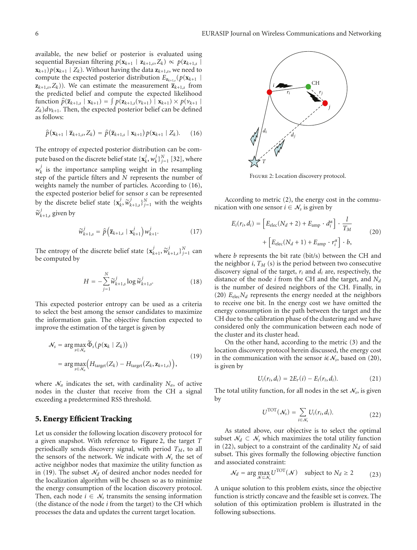available, the new belief or posterior is evaluated using sequential Bayesian filtering  $p(\mathbf{x}_{k+1} | \mathbf{z}_{k+1,s}, Z_k) \propto p(\mathbf{z}_{k+1,s} | \mathbf{z}_{k+1,s})$  $\mathbf{x}_{k+1}$ ) $p(\mathbf{x}_{k+1} | Z_k)$ . Without having the data  $\mathbf{z}_{k+1,s}$ , we need to compute the expected posterior distribution  $E_{\mathbf{z}_{k+1,s}}(p(\mathbf{x}_{k+1}))$  $\mathbf{z}_{k+1,s}, Z_k$ )). We can estimate the measurement  $\overline{\mathbf{z}}_{k+1,s}$  from the predicted belief and compute the expected likelihood function  $\hat{p}(\bar{\mathbf{z}}_{k+1,s} | \mathbf{x}_{k+1}) = \int p(\mathbf{z}_{k+1,s}(v_{k+1}) | \mathbf{x}_{k+1}) \times p(v_{k+1} | \mathbf{z}_{k+1})$  $Z_k$ ) $d\nu_{k+1}$ . Then, the expected posterior belief can be defined as follows:

$$
\hat{p}(\mathbf{x}_{k+1} | \bar{\mathbf{z}}_{k+1,s}, Z_k) = \hat{p}(\bar{\mathbf{z}}_{k+1,s} | \mathbf{x}_{k+1}) p(\mathbf{x}_{k+1} | Z_k).
$$
 (16)

The entropy of expected posterior distribution can be compute based on the discrete belief state  $\{\mathbf{x}_k^j, w_k^j\}_{j=1}^N$  [32], where  $w_k^j$  is the importance sampling weight in the resampling step of the particle filters and *N* represents the number of weights namely the number of particles. According to (16), the expected posterior belief for sensor *s* can be represented by the discrete belief state  $\{x_k^j, \widetilde{w}_{k+1,s}^j\}_{j=1}^N$  with the weights  $\widetilde{w}_{k+1,s}^j$  given by

$$
\widetilde{w}_{k+1,s}^j = \widehat{p}\left(\overline{\mathbf{z}}_{k+1,s} \mid \mathbf{x}_{k+1}^j\right) w_{k+1}^j. \tag{17}
$$

The entropy of the discrete belief state  $\{\mathbf{x}_{k+1}^j, \widetilde{w}_{k+1,s}^j\}_{j=1}^N$  can be computed by

$$
H = -\sum_{j=1}^{N} \widetilde{w}_{k+1,s}^{j} \log \widetilde{w}_{k+1,s}^{j}.
$$
 (18)

This expected posterior entropy can be used as a criteria to select the best among the sensor candidates to maximize the information gain. The objective function expected to improve the estimation of the target is given by

$$
\mathcal{N}_s = \arg \max_{s \in \mathcal{N}_a} \widetilde{\Phi}_s(p(\mathbf{x}_k | Z_k))
$$
  
= 
$$
\arg \max_{s \in \mathcal{N}_a} (H_{\text{target}}(Z_k) - H_{\text{target}}(Z_k, \mathbf{z}_{k+1,s})),
$$
 (19)

where  $\mathcal{N}_a$  indicates the set, with cardinality  $N_a$ , of active nodes in the cluster that receive from the CH a signal exceeding a predetermined RSS threshold.

#### **5. Energy Efficient Tracking**

Let us consider the following location discovery protocol for a given snapshot. With reference to Figure 2, the target *T* periodically sends discovery signal, with period *TM*, to all the sensors of the network. We indicate with  $\mathcal{N}_s$  the set of active neighbor nodes that maximize the utility function as in (19). The subset  $\mathcal{N}_d$  of desired anchor nodes needed for the localization algorithm will be chosen so as to minimize the energy consumption of the location discovery protocol. Then, each node  $i \in \mathcal{N}_s$  transmits the sensing information (the distance of the node *i* from the target) to the CH which processes the data and updates the current target location.



Figure 2: Location discovery protocol.

According to metric (2), the energy cost in the communication with one sensor  $i \in \mathcal{N}_s$  is given by

$$
E_i(r_i, d_i) = \left[ E_{\text{elec}}(N_d + 2) + E_{\text{amp}} \cdot d_i^{\alpha} \right] \cdot \frac{l}{T_M} + \left[ E_{\text{elec}}(N_d + 1) + E_{\text{amp}} \cdot r_i^{\alpha} \right] \cdot b,
$$
\n(20)

where *b* represents the bit rate (bit/s) between the CH and the neighbor  $i$ ,  $T_M$  (s) is the period between two consecutive discovery signal of the target, *ri* and *di* are, respectively, the distance of the node *i* from the CH and the target, and *Nd* is the number of desired neighbors of the CH. Finally, in (20)  $E_{elec}N_d$  represents the energy needed at the neighbors to receive one bit. In the energy cost we have omitted the energy consumption in the path between the target and the CH due to the calibration phase of the clustering and we have considered only the communication between each node of the cluster and its cluster head.

On the other hand, according to the metric (3) and the location discovery protocol herein discussed, the energy cost in the communication with the sensor  $i \in \mathcal{N}_s$ , based on (20), is given by

$$
U_i(r_i, d_i) = 2E_r(i) - E_i(r_i, d_i).
$$
 (21)

The total utility function, for all nodes in the set  $\mathcal{N}_s$ , is given by

$$
U^{\text{TOT}}(\mathcal{N}_s) = \sum_{i \in \mathcal{N}_s} U_i(r_i, d_i). \tag{22}
$$

As stated above, our objective is to select the optimal subset  $\mathcal{N}_d \subset \mathcal{N}_s$  which maximizes the total utility function in (22), subject to a constraint of the cardinality  $N_d$  of said subset. This gives formally the following objective function and associated constraint:

$$
\mathcal{N}_d = \arg \max_{\mathcal{N} \subseteq \mathcal{N}_s} U^{\text{TOT}}(\mathcal{N}) \quad \text{subject to } N_d \ge 2 \tag{23}
$$

A unique solution to this problem exists, since the objective function is strictly concave and the feasible set is convex. The solution of this optimization problem is illustrated in the following subsections.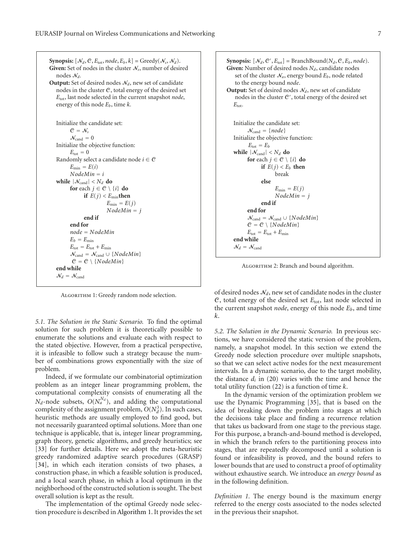**Synopsis:**  $[\mathcal{N}_d, \mathcal{C}, E_{\text{tot}}, node, E_b, k] = \text{Greedy}(\mathcal{N}_s, \mathcal{N}_d).$ Given: Set of nodes in the cluster  $\mathcal{N}_s$ , number of desired nodes N*d.* **Output:** Set of desired nodes  $\mathcal{N}_d$ , new set of candidate nodes in the cluster C, total energy of the desired set *E*tot, last node selected in the current snapshot *node*, energy of this node *Eb*, time *k.* Initialize the candidate set:  $C = \mathcal{N}_s$  $\mathcal{N}_{\text{cand}} = 0$ Initialize the objective function:  $E_{\text{tot}} = 0$ Randomly select a candidate node  $i \in \mathcal{C}$  $E_{\text{min}} = E(i)$ *NodeMin* <sup>=</sup> *<sup>i</sup>* **while**  $|\mathcal{N}_{\text{cand}}| < N_d$  **do for** each  $j \in \mathcal{C} \setminus \{i\}$  **do if**  $E(j) < E_{\min}$  then  $E_{\text{min}} = E(j)$ *NodeMin* <sup>=</sup> *<sup>j</sup>* **end if end for** *node* <sup>=</sup> *NodeMin*  $E_b = E_{\text{min}}$  $E_{\text{tot}} = E_{\text{tot}} + E_{\text{min}}$  $\mathcal{N}_{\text{cand}} = \mathcal{N}_{\text{cand}} \cup \{NodeMin\}$  $C = C \setminus \{NodeMin\}$ **end while**  $\mathcal{N}_d = \mathcal{N}_{\text{cand}}$ 

ALGORITHM 1: Greedy random node selection.

*5.1. The Solution in the Static Scenario.* To find the optimal solution for such problem it is theoretically possible to enumerate the solutions and evaluate each with respect to the stated objective. However, from a practical perspective, it is infeasible to follow such a strategy because the number of combinations grows exponentially with the size of problem.

Indeed, if we formulate our combinatorial optimization problem as an integer linear programming problem, the computational complexity consists of enumerating all the  $N_d$ -node subsets,  $O(N_a^{N_d})$ , and adding the computational complexity of the assignment problem,  $O(N_d^3)$ . In such cases, heuristic methods are usually employed to find good, but not necessarily guaranteed optimal solutions. More than one technique is applicable, that is, integer linear programming, graph theory, genetic algorithms, and greedy heuristics; see [33] for further details. Here we adopt the meta-heuristic greedy randomized adaptive search procedures (GRASP) [34], in which each iteration consists of two phases, a construction phase, in which a feasible solution is produced, and a local search phase, in which a local optimum in the neighborhood of the constructed solution is sought. The best overall solution is kept as the result.

The implementation of the optimal Greedy node selection procedure is described in Algorithm 1. It provides the set

| <b>Synopsis:</b> $[\mathcal{N}_d, \mathcal{C}', E_{\text{tot}}] = \text{BranchBound}(N_d, \mathcal{C}, E_b, node).$<br><b>Given:</b> Number of desired nodes $N_d$ , candidate nodes<br>set of the cluster $\mathcal{N}_a$ , energy bound $E_b$ , node related<br>to the energy bound node.<br><b>Output:</b> Set of desired nodes $\mathcal{N}_d$ , new set of candidate<br>nodes in the cluster $C'$ , total energy of the desired set |
|------------------------------------------------------------------------------------------------------------------------------------------------------------------------------------------------------------------------------------------------------------------------------------------------------------------------------------------------------------------------------------------------------------------------------------------|
| $E_{\rm tot}$ .                                                                                                                                                                                                                                                                                                                                                                                                                          |
| Initialize the candidate set:<br>$\mathcal{N}_{\text{cand}} = \{node\}$<br>Initialize the objective function:<br>$E_{\text{tot}}=E_h$<br>while $ \mathcal{N}_{\text{cand}}  < N_d$ do<br>for each $j \in C \setminus \{i\}$ do<br>if $E(j) < E_h$ then<br>break<br>else<br>$E_{\min} = E(j)$                                                                                                                                             |
| $NodeMin = j$                                                                                                                                                                                                                                                                                                                                                                                                                            |
| end if                                                                                                                                                                                                                                                                                                                                                                                                                                   |
| end for                                                                                                                                                                                                                                                                                                                                                                                                                                  |
| $\mathcal{N}_{\text{cand}} = \mathcal{N}_{\text{cand}} \cup \{NodeMin\}$<br>$C = C \setminus \{NodeMin\}$                                                                                                                                                                                                                                                                                                                                |
| $E_{\text{tot}} = E_{\text{tot}} + E_{\text{min}}$                                                                                                                                                                                                                                                                                                                                                                                       |
| end while                                                                                                                                                                                                                                                                                                                                                                                                                                |
| $\mathcal{N}_d = \mathcal{N}_{\text{cand}}$                                                                                                                                                                                                                                                                                                                                                                                              |

Algorithm 2: Branch and bound algorithm.

of desired nodes  $\mathcal{N}_d$ , new set of candidate nodes in the cluster C, total energy of the desired set  $E_{\text{tot}}$ , last node selected in the current snapshot *node*, energy of this node *Eb*, and time *k*.

*5.2. The Solution in the Dynamic Scenario.* In previous sections, we have considered the static version of the problem, namely, a snapshot model. In this section we extend the Greedy node selection procedure over multiple snapshots, so that we can select active nodes for the next measurement intervals. In a dynamic scenario, due to the target mobility, the distance  $d_i$  in (20) varies with the time and hence the total utility function (22) is a function of time *k*.

In the dynamic version of the optimization problem we use the Dynamic Programming [35], that is based on the idea of breaking down the problem into stages at which the decisions take place and finding a recurrence relation that takes us backward from one stage to the previous stage. For this purpose, a branch-and-bound method is developed, in which the branch refers to the partitioning process into stages, that are repeatedly decomposed until a solution is found or infeasibility is proved, and the bound refers to lower bounds that are used to construct a proof of optimality without exhaustive search. We introduce an *energy bound* as in the following definition.

*Definition 1.* The energy bound is the maximum energy referred to the energy costs associated to the nodes selected in the previous their snapshot.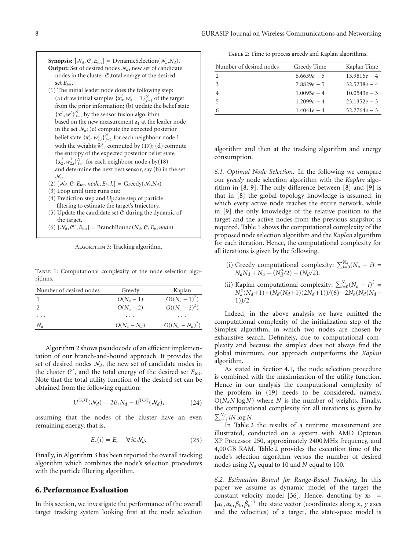**Synopsis:**  $[\mathcal{N}_d, \mathcal{C}, E_{\text{tot}}] = \text{DynamicSelection}(\mathcal{N}_a, N_d).$ **Output:** Set of desired nodes  $\mathcal{N}_d$ , new set of candidate nodes in the cluster C,total energy of the desired set *Etot*.

- (1) The initial leader node does the following step: (a) draw initial samples  $\{x_0^j, w_0^j = 1\}_{j=1}^N$  of the target from the prior information; (b) update the belief state  ${\bf x}_1^j, w_1^j\}_{j=1}^N$  by the sensor fusion algorithm based on the new measurement **z**<sup>1</sup> at the leader node in the set  $\mathcal{N}_a$ ; (c) compute the expected posterior belief state  $\{x_2^j, w_{2,i}^j\}_{j=1}^N$  for each neighboor node *i* with the weights  $\hat{w}^j_{2,i}$  computed by (17); (d) compute the entropy of the expected posterior belief state  $\{\mathbf{x}_2^j, w_{2,i}^j\}_{j=1}^N$  for each neighboor node *i* by(18) and determine the next best sensor, say (b) in the set N*s*.
- $(2)$   $[\mathcal{N}_d, \mathcal{C}, E_{\text{tot}}, node, E_b, k] = \text{Greedy}(\mathcal{N}_s, N_d)$
- (3) Loop until time runs out:
- (4) Prediction step and Update step of particle filtering to estimate the target's trajectory.
- (5) Update the candidate set  $C$  during the dynamic of the target.
- (6)  $[\mathcal{N}_d, \mathcal{C}', E_{\text{tot}}] = \text{BranchBound}(N_d, \mathcal{C}, E_b, node)$

Algorithm 3: Tracking algorithm.

TABLE 1: Computational complexity of the node selection algorithms.

| Number of desired nodes | Greedy       | Kaplan           |
|-------------------------|--------------|------------------|
|                         | $O(N_a - 1)$ | $O((N_a-1)^2)$   |
|                         | $O(N_a-2)$   | $O((N_a-2)^2)$   |
| $\cdots$                | .            | .                |
| $N_d$                   | $O(N_a-N_d)$ | $O((N_a-N_d)^2)$ |

Algorithm 2 shows pseudocode of an efficient implementation of our branch-and-bound approach. It provides the set of desired nodes  $\mathcal{N}_d$ , the new set of candidate nodes in the cluster C', and the total energy of the desired set  $E_{\text{tot}}$ . Note that the total utility function of the desired set can be obtained from the following equation:

$$
U^{\text{TOT}}(\mathcal{N}_d) = 2E_r N_d - E^{\text{TOT}}(\mathcal{N}_d),\tag{24}
$$

assuming that the nodes of the cluster have an even remaining energy, that is,

$$
E_r(i) = E_r \quad \forall i \in \mathcal{N}_d. \tag{25}
$$

Finally, in Algorithm 3 has been reported the overall tracking algorithm which combines the node's selection procedures with the particle filtering algorithm.

#### **6. Performance Evaluation**

In this section, we investigate the performance of the overall target tracking system looking first at the node selection

TABLE 2: Time to process greedy and Kaplan algorithms.

| Number of desired nodes | Greedy Time   | Kaplan Time    |
|-------------------------|---------------|----------------|
| 2                       | $6.6639e - 5$ | $13.9816e - 4$ |
| 3                       | $7.8829e - 5$ | $32.5238e - 4$ |
| $\overline{4}$          | $1.0095e - 4$ | $10.0543e - 3$ |
| -5                      | $1.2099e - 4$ | $23.1352e - 3$ |
| 6                       | $1.4041e - 4$ | $52.2764e - 3$ |

algorithm and then at the tracking algorithm and energy consumption.

*6.1. Optimal Node Selection.* In the following we compare our *greedy* node selection algorithm with the *Kaplan* algorithm in [8, 9]. The only difference between [8] and [9] is that in [8] the global topology knowledge is assumed, in which every active node reaches the entire network, while in [9] the only knowledge of the relative position to the target and the active nodes from the previous snapshot is required. Table 1 shows the computational complexity of the proposed node selection algorithm and the *Kaplan* algorithm for each iteration. Hence, the computational complexity for all iterations is given by the following.

- (i) Greedy computational complexity:  $\sum_{i=0}^{N_d} (N_a i)$  $N_a N_d + N_a - (N_d^2/2) - (N_d/2)$ .
- (ii) Kaplan computational complexity:  $\sum_{i=0}^{N_d} (N_a i)^2$  $N_a^2(N_d+1)+(N_d(N_d+1)(2N_d+1))/(6)-2N_a(N_d(N_d+1))$ 1))*/*2*.*

Indeed, in the above analysis we have omitted the computational complexity of the initialization step of the Simplex algorithm, in which two nodes are chosen by exhaustive search. Definitely, due to computational complexity and because the simplex does not always find the global minimum, our approach outperforms the *Kaplan* algorithm.

As stated in Section 4.1, the node selection procedure is combined with the maximization of the utility function. Hence in our analysis the computational complexity of the problem in (19) needs to be considered, namely,  $O(N_dN \log N)$  where *N* is the number of weights. Finally, the computational complexity for all iterations is given by  $\sum_{i=1}^{N_d} iN \log N$ .

In Table 2 the results of a runtime measurement are illustrated, conducted on a system with AMD Opteron XP Processor 250, approximately 2400 MHz frequency, and 4,00 GB RAM. Table 2 provides the execution time of the node's selection algorithm versus the number of desired nodes using *Na* equal to 10 and *N* equal to 100.

*6.2. Estimation Bound for Range-Based Tracking.* In this paper we assume as dynamic model of the target the constant velocity model [36]. Hence, denoting by  $\mathbf{x}_k$  =  $[\alpha_k, \dot{\alpha}_k, \beta_k, \dot{\beta}_k]^T$  the state vector (coordinates along *x*, *y* axes and the velocities) of a target, the state-space model is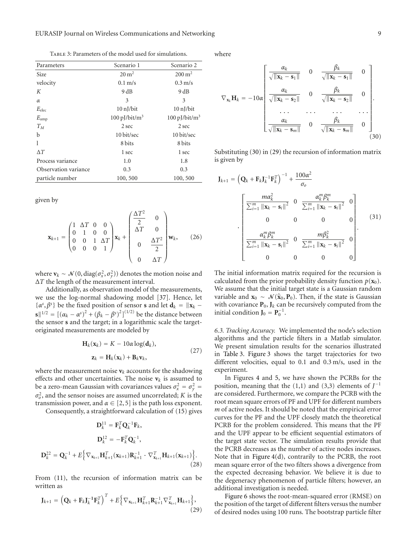TABLE 3: Parameters of the model used for simulations.

| Parameters           | Scenario 1                       | Scenario 2                       |
|----------------------|----------------------------------|----------------------------------|
| Size                 | $20 \,\mathrm{m}^2$              | $200 \,\mathrm{m}^2$             |
| velocity             | $0.1$ m/s                        | $0.3$ m/s                        |
| К                    | 9 dB                             | 9 dB                             |
| $\alpha$             | 3                                | 3                                |
| $E_{\text{elec}}$    | $10 \frac{\text{n}}{\text{bit}}$ | $10 \frac{\text{n}}{\text{bit}}$ |
| $E_{\rm amp}$        | $100 \text{ pJ/bit/m}^3$         | $100 \text{ pJ/bit/m}^3$         |
| $T_M$                | 2 sec                            | 2 sec                            |
| b                    | 10 bit/sec                       | 10 bit/sec                       |
| 1                    | 8 bits                           | 8 bits                           |
| $\Delta T$           | 1 sec                            | 1 sec                            |
| Process variance     | 1.0                              | 1.8                              |
| Observation variance | 0.3                              | 0.3                              |
| particle number      | 100, 500                         | 100, 500                         |

given by

$$
\mathbf{x}_{k+1} = \begin{pmatrix} 1 & \Delta T & 0 & 0 \\ 0 & 1 & 0 & 0 \\ 0 & 0 & 1 & \Delta T \\ 0 & 0 & 0 & 1 \end{pmatrix} \mathbf{x}_{k} + \begin{pmatrix} \frac{\Delta T^{2}}{2} & 0 \\ \Delta T & 0 \\ 0 & \frac{\Delta T^{2}}{2} \\ 0 & \Delta T \end{pmatrix} \mathbf{w}_{k}, \qquad (26)
$$

where  $\mathbf{v}_k \sim \mathcal{N}(0, \text{diag}(\sigma_x^2, \sigma_y^2))$  denotes the motion noise and Δ*T* the length of the measurement interval.

Additionally, as observation model of the measurements, we use the log-normal shadowing model [37]. Hence, let  $\{\alpha^s, \beta^s\}$  be the fixed position of sensor **s** and let **d**<sub>*k*</sub> =  $\|\mathbf{x}_k - \mathbf{x}_k\|$ **s** $||^{1/2} = [(\alpha_k - \alpha^s)^2 + (\beta_k - \beta^s)^2]^{(1/2)}$  be the distance between the sensor **s** and the target; in a logarithmic scale the targetoriginated measurements are modeled by

$$
\mathbf{H}_{k}(\mathbf{x}_{k}) = K - 10\alpha \log(\mathbf{d}_{k}),
$$
  

$$
\mathbf{z}_{k} = \mathbf{H}_{k}(\mathbf{x}_{k}) + \mathbf{B}_{k}\mathbf{v}_{k},
$$
 (27)

where the measurement noise  $\mathbf{v}_k$  accounts for the shadowing effects and other uncertainties. The noise  $v_k$  is assumed to be a zero-mean Gaussian with covariances values  $\sigma_x^2 = \sigma_y^2 =$  $\sigma_o^2$ , and the sensor noises are assumed uncorrelated; *K* is the transmission power, and  $\alpha \in [2, 5]$  is the path loss exponent.

Consequently, a straightforward calculation of (15) gives

$$
\mathbf{D}_{k}^{11} = \mathbf{F}_{k}^{T} \mathbf{Q}_{k}^{-1} \mathbf{F}_{k},
$$
\n
$$
\mathbf{D}_{k}^{12} = -\mathbf{F}_{k}^{T} \mathbf{Q}_{k}^{-1},
$$
\n
$$
\mathbf{D}_{k}^{22} = \mathbf{Q}_{k}^{-1} + E \Big\{ \nabla_{\mathbf{x}_{k+1}} \mathbf{H}_{k+1}^{T} (\mathbf{x}_{k+1}) \mathbf{R}_{k+1}^{-1} \cdot \nabla_{\mathbf{x}_{k+1}}^{T} \mathbf{H}_{k+1} (\mathbf{x}_{k+1}) \Big\}.
$$
\n(28)

From (11), the recursion of information matrix can be written as

$$
\mathbf{J}_{k+1} = \left( \mathbf{Q}_k + \mathbf{F}_k \mathbf{J}_k^{-1} \mathbf{F}_k^T \right)^T + E \left\{ \nabla_{\mathbf{x}_{k+1}} \mathbf{H}_{k+1}^T \mathbf{R}_{k+1}^{-1} \nabla_{\mathbf{x}_{k+1}}^T \mathbf{H}_{k+1} \right\},
$$
\n(29)

where

$$
\nabla_{\mathbf{x}_{k}}\mathbf{H}_{k} = -10\alpha \begin{bmatrix} \frac{\alpha_{k}}{\sqrt{\|\mathbf{x}_{k} - \mathbf{s}_{1}\|}} & 0 & \frac{\beta_{k}}{\sqrt{\|\mathbf{x}_{k} - \mathbf{s}_{1}\|}} & 0 \\ \frac{\alpha_{k}}{\sqrt{\|\mathbf{x}_{k} - \mathbf{s}_{2}\|}} & 0 & \frac{\beta_{k}}{\sqrt{\|\mathbf{x}_{k} - \mathbf{s}_{2}\|}} & 0 \\ \cdots & \cdots & \cdots & \cdots \\ \frac{\alpha_{k}}{\sqrt{\|\mathbf{x}_{k} - \mathbf{s}_{m}\|}} & 0 & \frac{\beta_{k}}{\sqrt{\|\mathbf{x}_{k} - \mathbf{s}_{m}\|}} & 0 \end{bmatrix} .
$$
\n(30)

Substituting (30) in (29) the recursion of information matrix is given by

$$
\mathbf{J}_{k+1} = \left( \mathbf{Q}_k + \mathbf{F}_k \mathbf{J}_k^{-1} \mathbf{F}_k^T \right)^{-1} + \frac{100\alpha^2}{\sigma_o}
$$
\n
$$
\sum_{i=1}^m \frac{m\alpha_k^2}{\|\mathbf{x}_k - \mathbf{s}_i\|^2} \quad 0 \quad \frac{\alpha_k^m \beta_k^m}{\sum_{i=1}^m \|\mathbf{x}_k - \mathbf{s}_i\|^2} \quad 0
$$
\n
$$
\left[ \begin{array}{ccc} 0 & 0 & 0 & 0 \\ \frac{\alpha_k^m \beta_k^m}{\sum_{i=1}^m \|\mathbf{x}_k - \mathbf{s}_i\|^2} & 0 & \frac{m\beta_k^2}{\sum_{i=1}^m \|\mathbf{x}_k - \mathbf{s}_i\|^2} & 0 \\ 0 & 0 & 0 & 0 \end{array} \right].
$$
\n(31)

The initial information matrix required for the recursion is calculated from the prior probability density function  $p(\mathbf{x}_0)$ . We assume that the initial target state is a Gaussian random variable and  $\mathbf{x}_0$  ∼  $\mathcal{N}(\hat{\mathbf{x}}_0, \mathbf{P}_0)$ . Then, if the state is Gaussian with covariance  $P_0$ ,  $J_k$  can be recursively computed from the initial condition  $J_0 = P_0^{-1}$ .

*6.3. Tracking Accuracy.* We implemented the node's selection algorithms and the particle filters in a Matlab simulator. We present simulation results for the scenarios illustrated in Table 3. Figure 3 shows the target trajectories for two different velocities, equal to 0.1 and 0.3 m/s, used in the experiment.

In Figures 4 and 5, we have shown the PCRBs for the position, meaning that the (1,1) and (3,3) elements of *J*−<sup>1</sup> are considered. Furthermore, we compare the PCRB with the root mean square errors of PF and UPF for different numbers *m* of active nodes. It should be noted that the empirical error curves for the PF and the UPF closely match the theoretical PCRB for the problem considered. This means that the PF and the UPF appear to be efficient sequential estimators of the target state vector. The simulation results provide that the PCRB decreases as the number of active nodes increases. Note that in Figure 4(d), contrarily to the PCRB, the root mean square error of the two filters shows a divergence from the expected decreasing behavior. We believe it is due to the degeneracy phenomenon of particle filters; however, an additional investigation is needed.

Figure 6 shows the root-mean-squared error (RMSE) on the position of the target of different filters versus the number of desired nodes using 100 runs. The bootstrap particle filter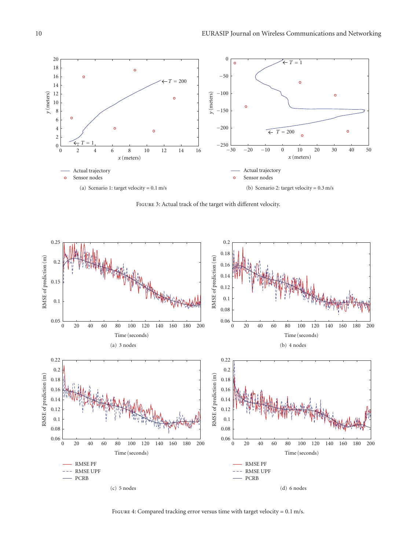

FIGURE 3: Actual track of the target with different velocity.



FIGURE 4: Compared tracking error versus time with target velocity = 0.1 m/s.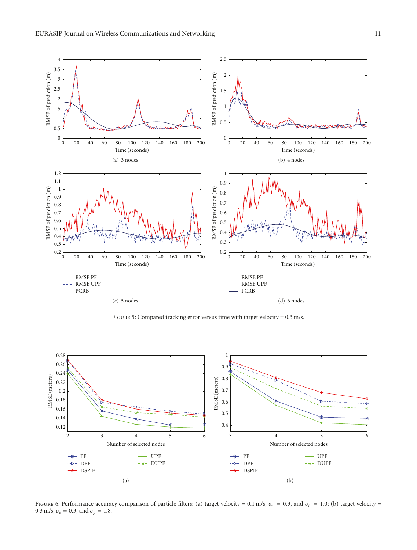

FIGURE 5: Compared tracking error versus time with target velocity =  $0.3$  m/s.



FIGURE 6: Performance accuracy comparison of particle filters: (a) target velocity = 0.1 m/s,  $\sigma_o = 0.3$ , and  $\sigma_p = 1.0$ ; (b) target velocity = 0.3 m/s,  $\sigma_o = 0.3$ , and  $\sigma_p = 1.8$ .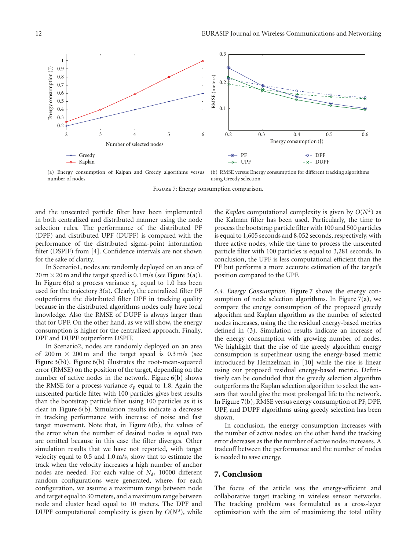(a) Energy consumption of Kalpan and Greedy algorithms versus number of nodes

(b) RMSE versus Energy consumption for different tracking algorithms using Greedy selection

Figure 7: Energy consumption comparison.

and the unscented particle filter have been implemented in both centralized and distributed manner using the node selection rules. The performance of the distributed PF (DPF) and distributed UPF (DUPF) is compared with the performance of the distributed sigma-point information filter (DSPIF) from [4]. Confidence intervals are not shown for the sake of clarity.

In Scenario1, nodes are randomly deployed on an area of  $20 \text{ m} \times 20 \text{ m}$  and the target speed is 0.1 m/s (see Figure 3(a)). In Figure 6(a) a process variance  $\sigma_p$  equal to 1.0 has been used for the trajectory  $3(a)$ . Clearly, the centralized filter PF outperforms the distributed filter DPF in tracking quality because in the distributed algorithms nodes only have local knowledge. Also the RMSE of DUPF is always larger than that for UPF. On the other hand, as we will show, the energy consumption is higher for the centralized approach. Finally, DPF and DUPF outperform DSPIF.

In Scenario2, nodes are randomly deployed on an area of  $200 \text{ m} \times 200 \text{ m}$  and the target speed is  $0.3 \text{ m/s}$  (see Figure 3(b)). Figure 6(b) illustrates the root-mean-squared error (RMSE) on the position of the target, depending on the number of active nodes in the network. Figure 6(b) shows the RMSE for a process variance  $\sigma_p$  equal to 1.8. Again the unscented particle filter with 100 particles gives best results than the bootstrap particle filter using 100 particles as it is clear in Figure 6(b). Simulation results indicate a decrease in tracking performance with increase of noise and fast target movement. Note that, in Figure 6(b), the values of the error when the number of desired nodes is equal two are omitted because in this case the filter diverges. Other simulation results that we have not reported, with target velocity equal to 0.5 and 1.0 m/s, show that to estimate the track when the velocity increases a high number of anchor nodes are needed. For each value of *Nd*, 10000 different random configurations were generated, where, for each configuration, we assume a maximum range between node and target equal to 30 meters, and a maximum range between node and cluster head equal to 10 meters. The DPF and DUPF computational complexity is given by *O*(*N*3), while

the *Kaplan* computational complexity is given by  $O(N^2)$  as the Kalman filter has been used. Particularly, the time to process the bootstrap particle filter with 100 and 500 particles is equal to 1,605 seconds and 8,052 seconds, respectively, with three active nodes, while the time to process the unscented particle filter with 100 particles is equal to 3,281 seconds. In conclusion, the UPF is less computational efficient than the PF but performs a more accurate estimation of the target's position compared to the UPF.

*6.4. Energy Consumption.* Figure 7 shows the energy consumption of node selection algorithms. In Figure 7(a), we compare the energy consumption of the proposed greedy algorithm and Kaplan algorithm as the number of selected nodes increases, using the the residual energy-based metrics defined in (3). Simulation results indicate an increase of the energy consumption with growing number of nodes. We highlight that the rise of the greedy algorithm energy consumption is superlinear using the energy-based metric introduced by Heinzelman in [10] while the rise is linear using our proposed residual energy-based metric. Definitively can be concluded that the greedy selection algorithm outperforms the Kaplan selection algorithm to select the sensors that would give the most prolonged life to the network. In Figure 7(b), RMSE versus energy consumption of PF, DPF, UPF, and DUPF algorithms using greedy selection has been shown.

In conclusion, the energy consumption increases with the number of active nodes; on the other hand the tracking error decreases as the the number of active nodes increases. A tradeoff between the performance and the number of nodes is needed to save energy.

#### **7. Conclusion**

The focus of the article was the energy-efficient and collaborative target tracking in wireless sensor networks. The tracking problem was formulated as a cross-layer optimization with the aim of maximizing the total utility

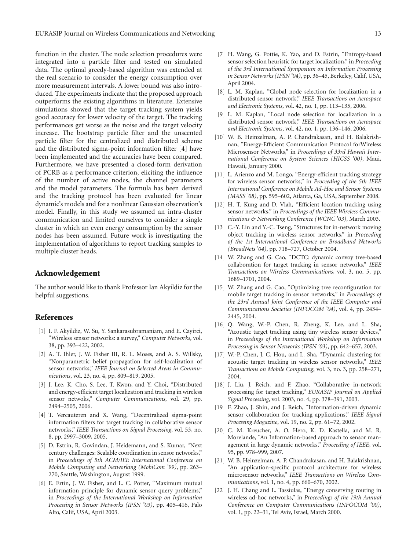function in the cluster. The node selection procedures were integrated into a particle filter and tested on simulated data. The optimal greedy-based algorithm was extended at the real scenario to consider the energy consumption over more measurement intervals. A lower bound was also introduced. The experiments indicate that the proposed approach outperforms the existing algorithms in literature. Extensive simulations showed that the target tracking system yields good accuracy for lower velocity of the target. The tracking performances get worse as the noise and the target velocity increase. The bootstrap particle filter and the unscented particle filter for the centralized and distributed scheme and the distributed sigma-point information filter [4] have been implemented and the accuracies have been compared. Furthermore, we have presented a closed-form derivation of PCRB as a performance criterion, eliciting the influence of the number of active nodes, the channel parameters and the model parameters. The formula has been derived and the tracking protocol has been evaluated for linear dynamic's models and for a nonlinear Gaussian observation's model. Finally, in this study we assumed an intra-cluster communication and limited ourselves to consider a single cluster in which an even energy consumption by the sensor nodes has been assumed. Future work is investigating the implementation of algorithms to report tracking samples to multiple cluster heads.

#### **Acknowledgement**

The author would like to thank Professor Ian Akyildiz for the helpful suggestions.

#### **References**

- [1] I. F. Akyildiz, W. Su, Y. Sankarasubramaniam, and E. Cayirci, "Wireless sensor networks: a survey," *Computer Networks*, vol. 38, pp. 393–422, 2002.
- [2] A. T. Ihler, J. W. Fisher III, R. L. Moses, and A. S. Willsky, "Nonparametric belief propagation for self-localization of sensor networks," *IEEE Journal on Selected Areas in Communications*, vol. 23, no. 4, pp. 809–819, 2005.
- [3] J. Lee, K. Cho, S. Lee, T. Kwon, and Y. Choi, "Distributed and energy-efficient target localization and tracking in wireless sensor netwoks," *Computer Communications*, vol. 29, pp. 2494–2505, 2006.
- [4] T. Vercauteren and X. Wang, "Decentralized sigma-point information filters for target tracking in collaborative sensor networks," *IEEE Transactions on Signal Processing*, vol. 53, no. 8, pp. 2997–3009, 2005.
- [5] D. Estrin, R. Govindan, J. Heidemann, and S. Kumar, "Next century challenges: Scalable coordination in sensor networks," in *Proceedings of 5th ACM/IEE International Conference on Mobile Computing and Networking (MobiCom '99)*, pp. 263– 270, Seattle, Washington, August 1999.
- [6] E. Ertin, J. W. Fisher, and L. C. Potter, "Maximum mutual information principle for dynamic sensor query problems," in *Proceedings of the International Workshop on Information Processing in Sensor Networks (IPSN '03)*, pp. 405–416, Palo Alto, Calif, USA, April 2003.
- [7] H. Wang, G. Pottie, K. Yao, and D. Estrin, "Entropy-based sensor selection heuristic for target localization," in *Proceeding of the 3rd International Symposium on Information Processing in Sensor Networks (IPSN '04)*, pp. 36–45, Berkeley, Calif, USA, April 2004.
- [8] L. M. Kaplan, "Global node selection for localization in a distributed sensor network," *IEEE Transactions on Aerospace and Electronic Systems*, vol. 42, no. 1, pp. 113–135, 2006.
- [9] L. M. Kaplan, "Local node selection for localization in a distributed sensor network," *IEEE Transactions on Aerospace and Electronic Systems*, vol. 42, no. 1, pp. 136–146, 2006.
- [10] W. B. Heinzelman, A. P. Chandrakasan, and H. Balakrishnan, "Energy-Efficient Communication Protocol forWireless Microsensor Networks," in *Proceedings of 33rd Hawaii International Conference on System Sciences (HICSS '00)*, Maui, Hawaii, January 2000.
- [11] L. Arienzo and M. Longo, "Energy-efficient tracking strategy for wireless sensor networks," in *Proceeding of the 5th IEEE International Conference on Mobile Ad-Hoc and Sensor Systems (MASS '08)*, pp. 595–602, Atlanta, Ga, USA, September 2008.
- [12] H. T. Kung and D. Vlah, "Efficient location tracking using sensor networks," in *Proceedings of the IEEE Wireless Communications & Networking Conference (WCNC '03)*, March 2003.
- [13] C.-Y. Lin and Y.-C. Tseng, "Structures for in-network moving object tracking in wireless sensor networks," in *Proceeding of the 1st International Conference on Broadband Networks (BroadNets '04)*, pp. 718–727, October 2004.
- [14] W. Zhang and G. Cao, "DCTC: dynamic convoy tree-based collaboration for target tracking in sensor networks," *IEEE Transactions on Wireless Communications*, vol. 3, no. 5, pp. 1689–1701, 2004.
- [15] W. Zhang and G. Cao, "Optimizing tree reconfiguration for mobile target tracking in sensor networks," in *Proceedings of the 23rd Annual Joint Conference of the IEEE Computer and Communications Societies (INFOCOM '04)*, vol. 4, pp. 2434– 2445, 2004.
- [16] Q. Wang, W.-P. Chen, R. Zheng, K. Lee, and L. Sha, "Acoustic target tracking using tiny wireless sensor devices," in *Proceedings of the International Workshop on Information Processing in Sensor Networks (IPSN '03)*, pp. 642–657, 2003.
- [17] W.-P. Chen, J. C. Hou, and L. Sha, "Dynamic clustering for acoustic target tracking in wireless sensor networks," *IEEE Transactions on Mobile Computing*, vol. 3, no. 3, pp. 258–271, 2004.
- [18] J. Liu, J. Reich, and F. Zhao, "Collaborative in-network processing for target tracking," *EURASIP Journal on Applied Signal Processing*, vol. 2003, no. 4, pp. 378–391, 2003.
- [19] F. Zhao, J. Shin, and J. Reich, "Information-driven dynamic sensor collaboration for tracking applications," *IEEE Signal Processing Magazine*, vol. 19, no. 2, pp. 61–72, 2002.
- [20] C. M. Kreucher, A. O. Hero, K. D. Kastella, and M. R. Morelande, "An Information-based approach to sensor management in large dynamic networks," *Proceeding of IEEE*, vol. 95, pp. 978–999, 2007.
- [21] W. B. Heinzelman, A. P. Chandrakasan, and H. Balakrishnan, "An application-specific protocol architecture for wireless microsensor networks," *IEEE Transactions on Wireless Communications*, vol. 1, no. 4, pp. 660–670, 2002.
- [22] J. H. Chang and L. Tassiulas, "Energy conserving routing in wireless ad-hoc networks," in *Proceedings of the 19th Annual Conference on Computer Communications (INFOCOM '00)*, vol. 1, pp. 22–31, Tel Aviv, Israel, March 2000.